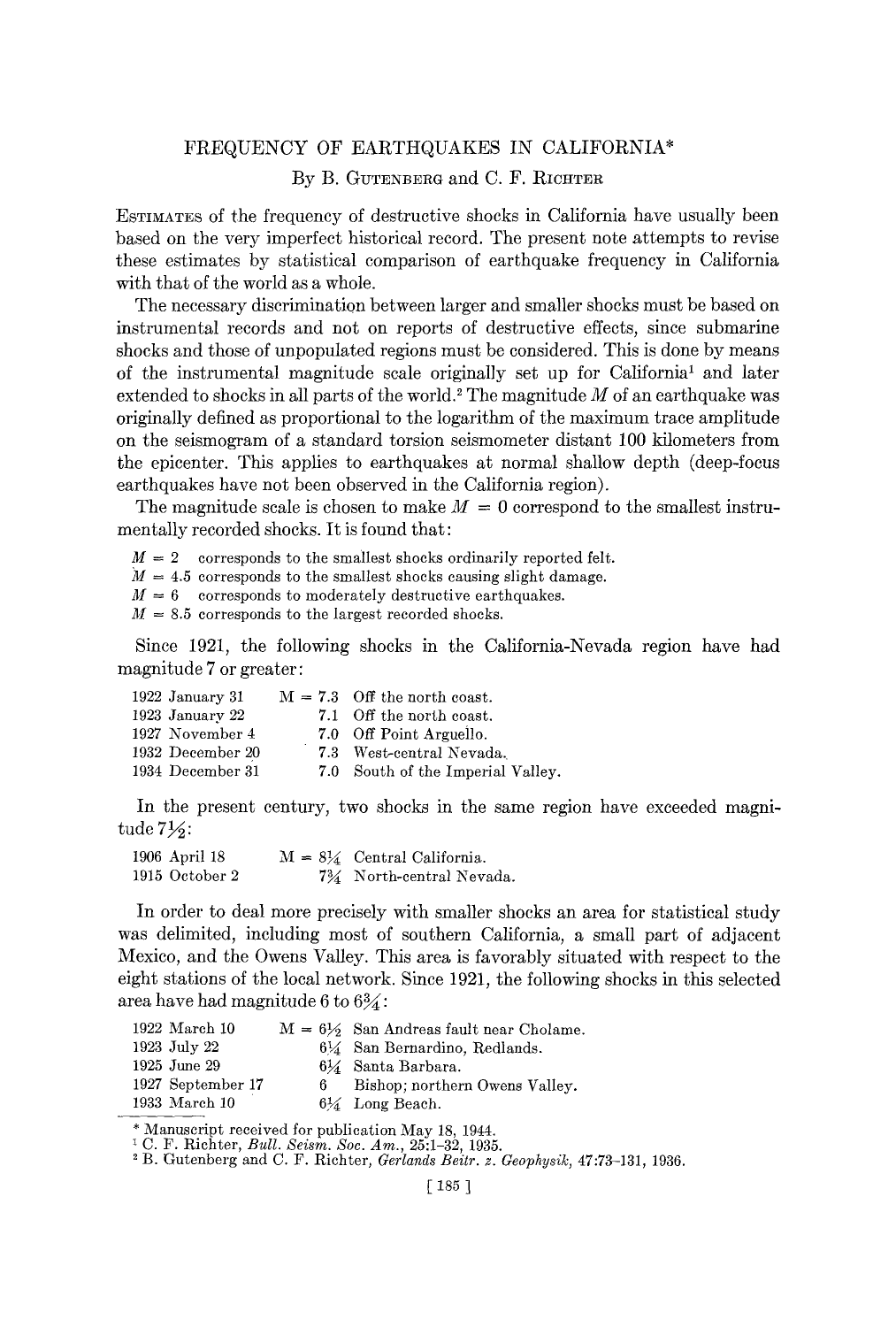## FREQUENCY OF EARTHQUAKES IN CALIFORNIA\* By B. GUTENBERG and C. F. RICHTER

ESTIMATES of the frequency of destructive shocks in California have usually been based on the very imperfect historical record. The present note attempts to revise these estimates by statistical comparison of earthquake frequency in California with that of the world as a whole.

The necessary discrimination between larger and smaller shocks must be based on instrumental records and not on reports of destructive effects, since submarine shocks and those of unpopulated regions must be considered. This is done by means of the instrumental magnitude scale originally set up for California<sup>1</sup> and later extended to shocks in all parts of the world.<sup>2</sup> The magnitude  $M$  of an earthquake was originally defined as proportional to the logarithm of the maximum trace amplitude on the seismogram of a standard torsion seismometer distant 100 kilometers from the epicenter. This applies to earthquakes at normal shallow depth (deep-focus earthquakes have not been observed in the California region).

The magnitude scale is chosen to make  $M = 0$  correspond to the smallest instrumentally recorded shocks. It is found that:

 $M = 2$  corresponds to the smallest shocks ordinarily reported felt.

 $M = 4.5$  corresponds to the smallest shocks causing slight damage.

 $M = 6$  corresponds to moderately destructive earthquakes.

 $M = 8.5$  corresponds to the largest recorded shocks.

Since 1921, the following shocks in the California-Nevada region have had magnitude 7 or greater:

| 1922 January 31  | $M = 7.3$ Off the north coast.    |
|------------------|-----------------------------------|
| 1923 January 22  | 7.1 Off the north coast.          |
| 1927 November 4  | 7.0 Off Point Arguello.           |
| 1932 December 20 | 7.3 West-central Nevada.          |
| 1934 December 31 | 7.0 South of the Imperial Valley. |
|                  |                                   |

In the present century, two shocks in the same region have exceeded magnitude  $7\frac{1}{6}$ :

1906 April 18  $M = 8\frac{1}{4}$  Central California. 1915 October 2 734 North-central Nevada.

In order to deal more precisely with smaller shocks an area for statistical study was delimited, including most of southern California, a small part of adjacent Mexico, and the Owens Valley. This area is favorably situated with respect to the eight stations of the local network. Since 1921, the following shocks in this selected area have had magnitude 6 to  $6\frac{3}{4}$ :

| $1922$ March $10$ | $M = 6\frac{1}{2}$ San Andreas fault near Cholame. |
|-------------------|----------------------------------------------------|
| 1923 July 22      | $6\%$ San Bernardino, Redlands.                    |
| 1925 June 29      | 6½ Santa Barbara.                                  |
| 1927 September 17 | Bishop; northern Owens Valley.                     |
| 1933 March 10     | $6\frac{1}{4}$ Long Beach.                         |

Manuscript received for publication May 18, 1944.

2 B. Gutenberg and C. F. Richter, *Gerlands Beitr. z. Geophysik,* 47:73-131, 1936.

C. P. Richter, *Bull. Seism. Soc. Am.,* 25:1-32, 1935.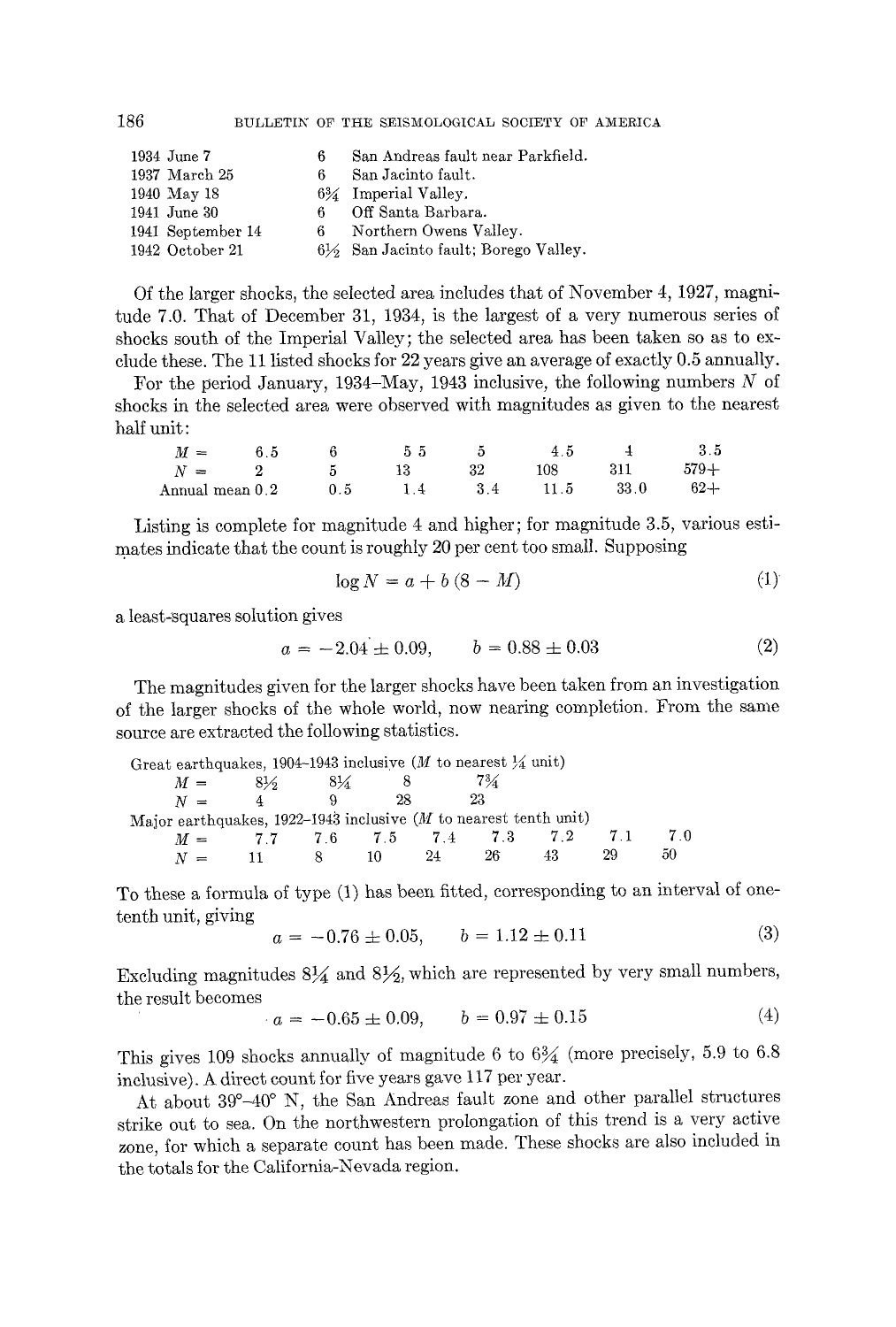| 1934 June 7       | 6. | San Andreas fault near Parkfield.    |
|-------------------|----|--------------------------------------|
| 1937 March 25     | 6. | San Jacinto fault.                   |
| 1940 May 18       |    | $6\%$ Imperial Valley.               |
| 1941 June 30      | 6. | Off Santa Barbara.                   |
| 1941 September 14 | 6. | Northern Owens Valley.               |
| 1942 October 21   |    | 6½ San Jacinto fault; Borego Valley. |

Of the larger shocks, the selected area includes that of November *4,* 1927, magnitude 7.0. That of December 31, 1934, is the largest of a very numerous series of shocks south of the Imperial Valley; the selected area has been taken so as to exclude these. The 11 listed shocks for 22 years give an average of exactly 0.5 annually.

For the period January, 1934–May, 1943 inclusive, the following numbers  $N$  of shocks in the selected area were observed with magnitudes as given to the nearest half unit:

| $M =$                   | 65 |     | 55 |     | 4.5  |      | 3.5    |
|-------------------------|----|-----|----|-----|------|------|--------|
| $N =$                   |    |     |    | 32  | 108. | 311  | $579+$ |
| $\quad$ Annual mean 0.2 |    | 0.5 | 14 | -34 | 11.5 | 33.0 | $62 +$ |

Listing is complete for magnitude 4 and higher; for magnitude 3.5, various estimates indicate that the count is roughly 20 per cent too small. Supposing

$$
\log N = a + b(8 - M) \tag{1}
$$

a least-squares solution gives

$$
a = -2.04 \pm 0.09, \qquad b = 0.88 \pm 0.03 \tag{2}
$$

The magnitudes given for the larger shocks have been taken from an investigation of the larger shocks of the whole world, now nearing completion. From the same source are extracted the following statistics.

| Great earthquakes, 1904–1943 inclusive (M to nearest $\frac{1}{4}$ unit)   |    |       |             |    |       |    |    |    |
|----------------------------------------------------------------------------|----|-------|-------------|----|-------|----|----|----|
| $M =$                                                                      | 8½ | $8\%$ |             |    | $7\%$ |    |    |    |
| $N =$                                                                      | 4  |       | 28          |    | 23    |    |    |    |
| Major earthquakes, $1922-1943$ inclusive ( <i>M</i> to nearest tenth unit) |    |       |             |    |       |    |    |    |
| $M =$                                                                      |    |       | 77 76 75 74 |    | - 7.3 | 72 |    | 70 |
| $N =$                                                                      |    |       | 10          | 24 | 26    |    | 29 | 50 |

To these a formula of type (1) has been fitted, corresponding to an interval of onetenth unit, giving

$$
a = -0.76 \pm 0.05, \qquad b = 1.12 \pm 0.11 \tag{3}
$$

Excluding magnitudes  $8\frac{1}{4}$  and  $8\frac{1}{2}$ , which are represented by very small numbers, the result becomes  $\lambda$ 

$$
a = -0.65 \pm 0.09, \qquad b = 0.97 \pm 0.15 \tag{4}
$$

This gives 109 shocks annually of magnitude 6 to  $6\frac{3}{4}$  (more precisely, 5.9 to 6.8) inclusive). A direct count for five years gave 117 per year.

At about 39°-40 ° N, the San Andreas fault zone and other parallel structures strike out to sea. On the northwestern prolongation of this trend is a very active zone, for which a separate count has been made. These shocks are also included in the totals for the California-Nevada region.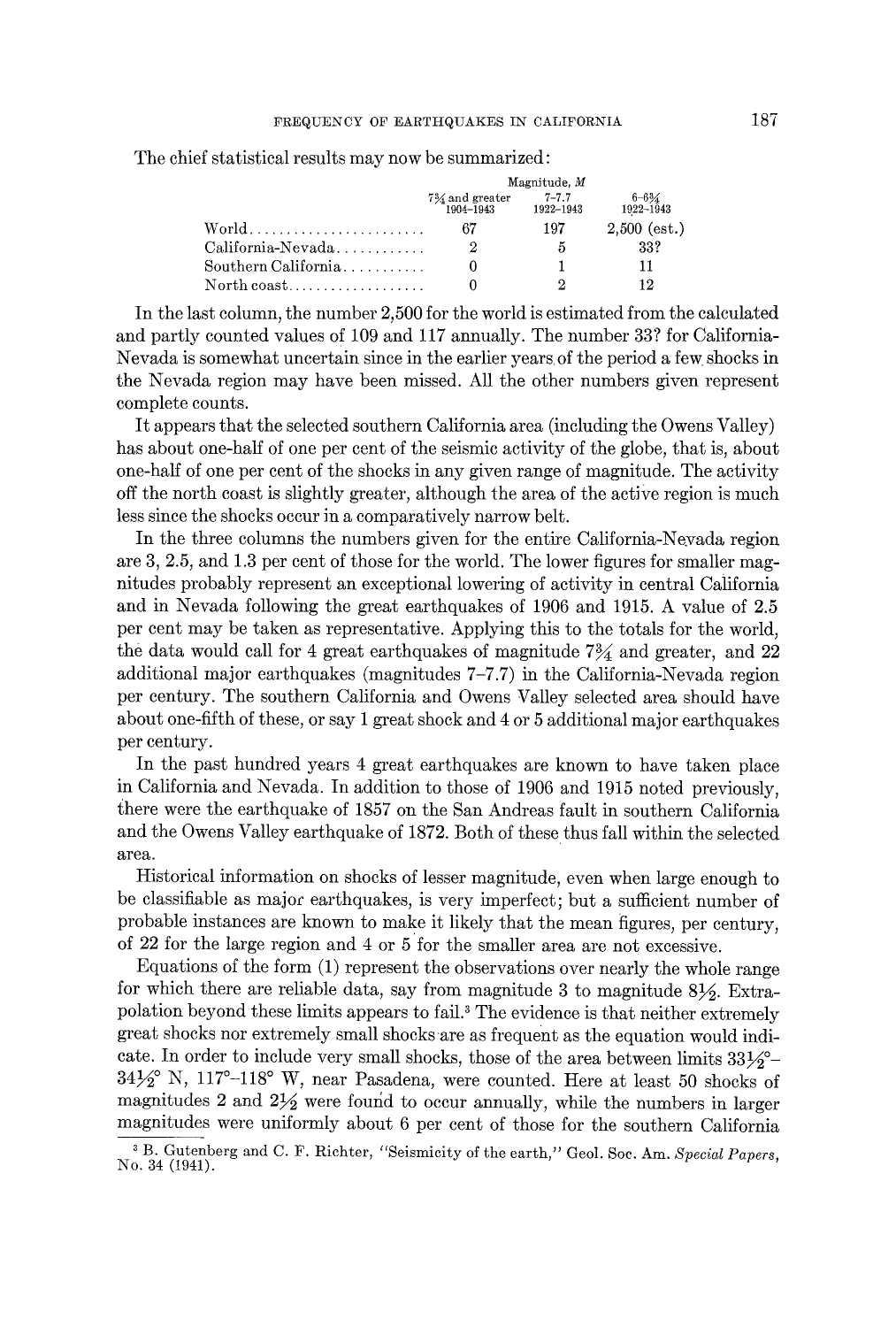The chief statistical results may now be summarized:

|                                                                                | Magnitude, M                            |                        |                                     |  |  |  |
|--------------------------------------------------------------------------------|-----------------------------------------|------------------------|-------------------------------------|--|--|--|
|                                                                                | $7\frac{3}{4}$ and greater<br>1904-1943 | $7 - 7.7$<br>1922-1943 | $6 - 6\frac{3}{4}$<br>$1922 - 1943$ |  |  |  |
|                                                                                | 67                                      | 197                    | $2.500$ (est.)                      |  |  |  |
| $\text{California-Nevada} \dots \dots \dots \dots$                             | 2                                       | 5                      | 33?                                 |  |  |  |
| $\text{Southern California}$ , , , , , , , , , ,                               |                                         |                        | 11                                  |  |  |  |
| $\operatorname{North}\operatorname{coast}\ldots\ldots\ldots\ldots\ldots\ldots$ |                                         | റ                      | 19.                                 |  |  |  |

In the last column, the number 2,500 for the world is estimated from the calculated and partly counted values of 109 and 117 annually. The number 33? for California-Nevada is somewhat uncertain since in the earlier years of the period a few shocks in the Nevada region may have been missed. All the other numbers given represent complete counts.

It appears that the selected southern California area (including the Owens Valley) has about one-half of one per cent of the seismic activity of the globe, that is, about one-half of one per cent of the shocks in any given range of magnitude. The activity off the north coast is slightly greater, although the area of the active region is much less since the shocks occur in a comparatively narrow belt.

In the three columns the numbers given for the entire California-Nevada region are 3, 2.5, and 1.3 per cent of those for the world. The lower figures for smaller magnitudes probably represent an exceptional lowering of activity in central california and in Nevada following the great earthquakes of 1906 and 1915. A value of 2.5 per cent may be taken as representative. Applying this to the totals for the world, the data would call for 4 great earthquakes of magnitude  $7\frac{3}{4}$  and greater, and 22 additional major earthquakes (magnitudes 7-7.7) in the California-Nevada region per century. The southern California and Owens Valley selected area should have about one-fifth of these, or say 1 great shock and 4 or 5 additional major earthquakes per century.

In the past hundred years 4 great earthquakes are known to have taken place in California and Nevada. In addition to those of 1906 and 1915 noted previously, there were the earthquake of 1857 on the San Andreas fault in southern California and the Owens Valley earthquake of 1872. Both of these thus fall within the selected area.

Historical information on shocks of lesser magnitude, even when large enough to be classifiable as major earthquakes, is very imperfect; but a sufficient number of probable instances are known to make it likely that the mean figures, per century, of 22 for the large region and 4 or 5 for the smaller area are not excessive.

Equations of the form (1) represent the observations over nearly the whole range for which there are reliable data, say from magnitude 3 to magnitude  $8\frac{1}{2}$ . Extrapolation beyond these limits appears to fail. 3 The evidence is that neither extremely great shocks nor extremely small shocks are as frequent as the equation would indicate. In order to include very small shocks, those of the area between limits  $33\frac{1}{2}$ °- $34\frac{1}{2}$ ° N, 117°-118° W, near Pasadena, were counted. Here at least 50 shocks of magnitudes 2 and  $2\frac{1}{2}$  were found to occur annually, while the numbers in larger magnitudes were uniformly about 6 per cent of those for the southern California

<sup>3</sup> B. Gutenberg and C. F. Richter, "Seismicity of the earth," Geol. Soc. Am. *Special Papers,*  No. 34 (1941).